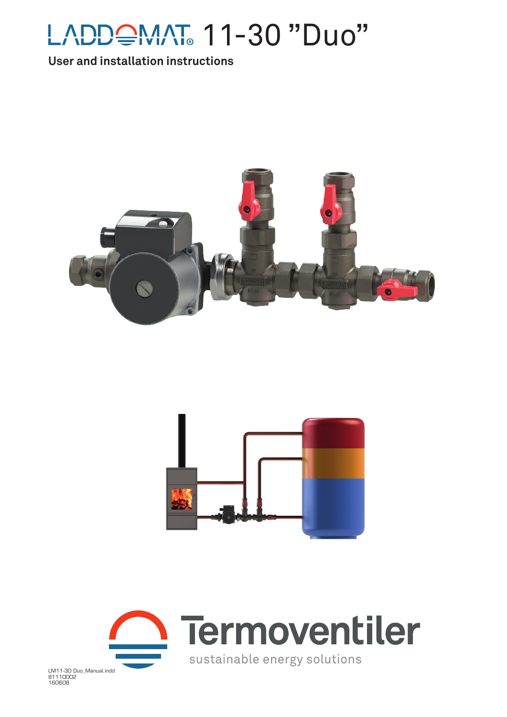

## **User and installation instructions**







LM11-30 Duo\_Manual.indd 81110002 160608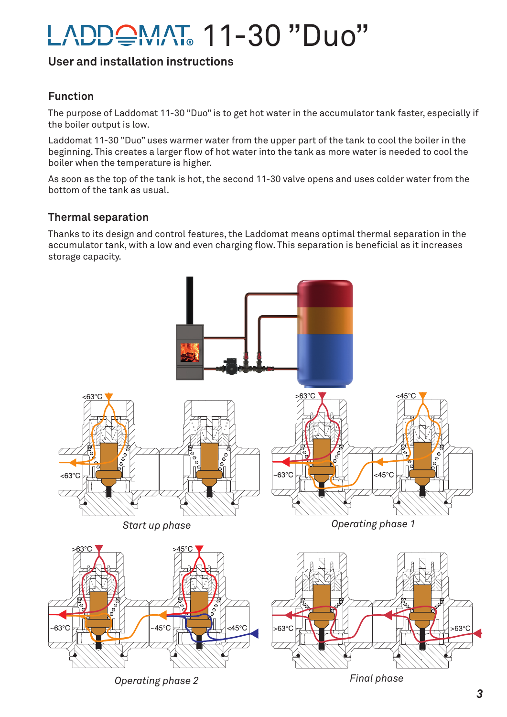# <del>≘</del>MAT 11-30 "Duo"

## **User and installation instructions**

## **Function**

The purpose of Laddomat 11-30 "Duo" is to get hot water in the accumulator tank faster, especially if the boiler output is low.

Laddomat 11-30 "Duo" uses warmer water from the upper part of the tank to cool the boiler in the beginning. This creates a larger flow of hot water into the tank as more water is needed to cool the boiler when the temperature is higher.

As soon as the top of the tank is hot, the second 11-30 valve opens and uses colder water from the bottom of the tank as usual.

#### **Thermal separation**

Thanks to its design and control features, the Laddomat means optimal thermal separation in the accumulator tank, with a low and even charging flow. This separation is beneficial as it increases storage capacity.

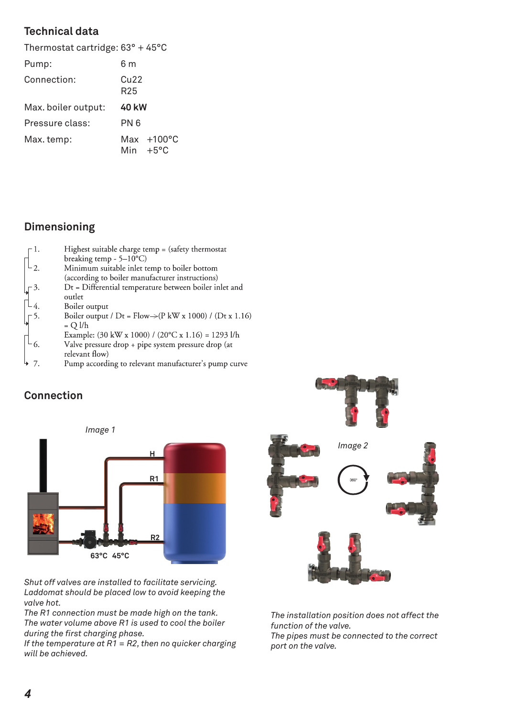## **Technical data**

| Thermostat cartridge: $63^{\circ}$ + 45 $^{\circ}$ C |                                  |
|------------------------------------------------------|----------------------------------|
| 6 m                                                  |                                  |
| Cu22<br>R <sub>25</sub>                              |                                  |
| 40 kW                                                |                                  |
| PN 6                                                 |                                  |
|                                                      | Max +100°C<br>Min $+5^{\circ}$ C |
|                                                      |                                  |

# **Dimensioning**

| 1.    | Highest suitable charge temp $=$ (safety thermostat                                 |
|-------|-------------------------------------------------------------------------------------|
|       | breaking temp - $5-10$ °C)                                                          |
| $-2.$ | Minimum suitable inlet temp to boiler bottom                                        |
|       | (according to boiler manufacturer instructions)                                     |
| 3.    | $Dt = Differential$ temperature between boiler inlet and                            |
|       | outlet                                                                              |
| -4.   | Boiler output                                                                       |
| $-5.$ | Boiler output / $Dt = Flow \rightarrow (P kW x 1000) / (Dt x 1.16)$                 |
|       | $= Q l/h$                                                                           |
|       | Example: $(30 \text{ kW x } 1000) / (20\degree\text{C x } 1.16) = 1293 \text{ l/h}$ |
| 6.    | Valve pressure drop + pipe system pressure drop (at                                 |
|       | relevant flow)                                                                      |
|       | Pump according to relevant manufacturer's pump curve                                |

# **Connection**



*Shut off valves are installed to facilitate servicing. Laddomat should be placed low to avoid keeping the valve hot.*

*The R1 connection must be made high on the tank. The water volume above R1 is used to cool the boiler during the fi rst charging phase.* 

*If the temperature at R1 = R2, then no quicker charging will be achieved.*



*The installation position does not affect the function of the valve. The pipes must be connected to the correct port on the valve.*